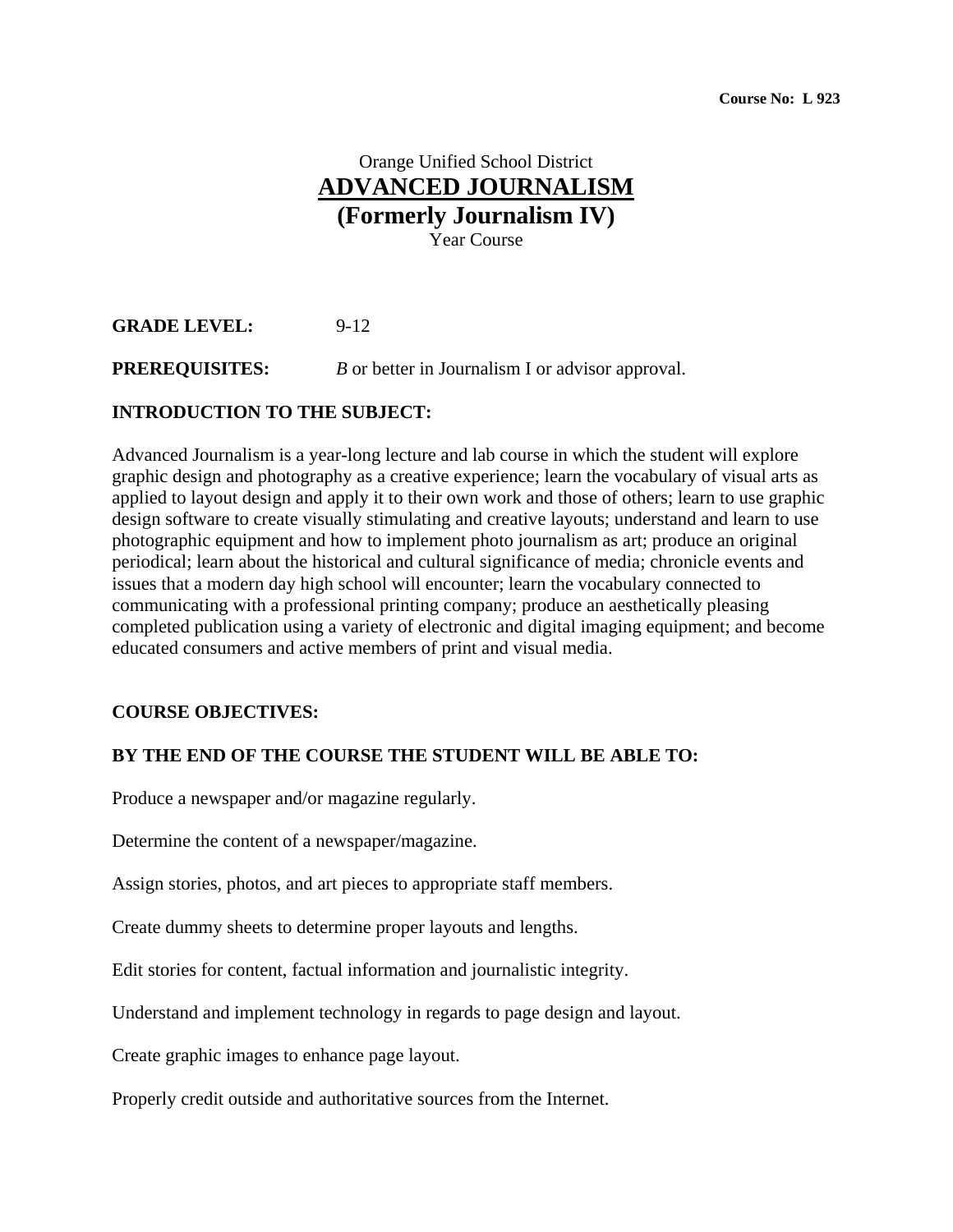# Orange Unified School District **ADVANCED JOURNALISM (Formerly Journalism IV)**  Year Course

## **GRADE LEVEL:** 9-12

### **PREREQUISITES:** *B* or better in Journalism I or advisor approval.

#### **INTRODUCTION TO THE SUBJECT:**

Advanced Journalism is a year-long lecture and lab course in which the student will explore graphic design and photography as a creative experience; learn the vocabulary of visual arts as applied to layout design and apply it to their own work and those of others; learn to use graphic design software to create visually stimulating and creative layouts; understand and learn to use photographic equipment and how to implement photo journalism as art; produce an original periodical; learn about the historical and cultural significance of media; chronicle events and issues that a modern day high school will encounter; learn the vocabulary connected to communicating with a professional printing company; produce an aesthetically pleasing completed publication using a variety of electronic and digital imaging equipment; and become educated consumers and active members of print and visual media.

#### **COURSE OBJECTIVES:**

#### **BY THE END OF THE COURSE THE STUDENT WILL BE ABLE TO:**

Produce a newspaper and/or magazine regularly.

Determine the content of a newspaper/magazine.

Assign stories, photos, and art pieces to appropriate staff members.

Create dummy sheets to determine proper layouts and lengths.

Edit stories for content, factual information and journalistic integrity.

Understand and implement technology in regards to page design and layout.

Create graphic images to enhance page layout.

Properly credit outside and authoritative sources from the Internet.